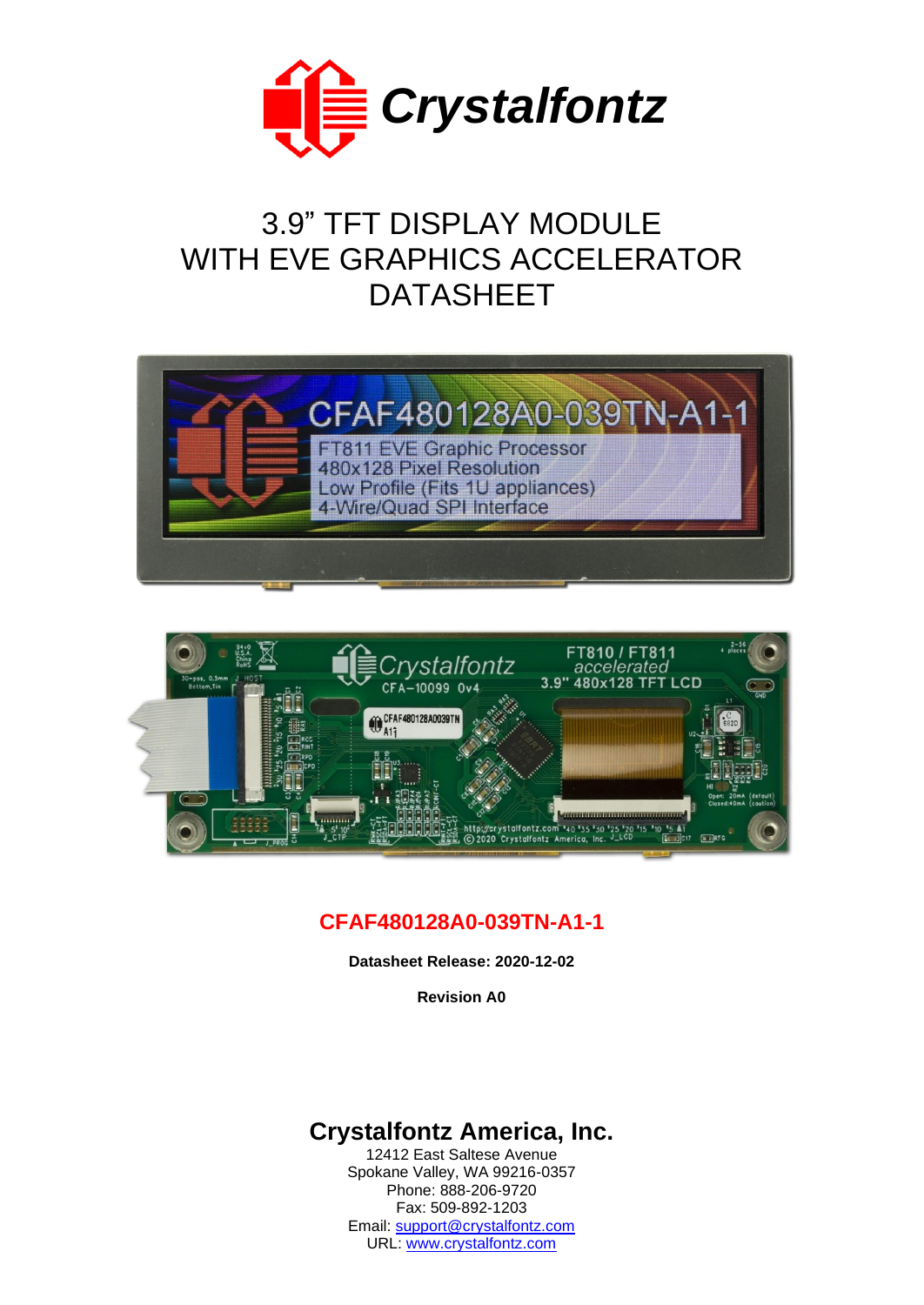

# 3.9" TFT DISPLAY MODULE WITH EVE GRAPHICS ACCELERATOR DATASHEET





# **CFAF480128A0-039TN-A1-1**

**Datasheet Release: 2020-12-02**

**Revision A0**

# **Crystalfontz America, Inc.**

12412 East Saltese Avenue Spokane Valley, WA 99216-0357 Phone: 888-206-9720 Fax: 509-892-1203 Email: [support@crystalfontz.com](mailto:support@crystalfontz.com) URL: [www.crystalfontz.com](https://www.crystalfontz.com/)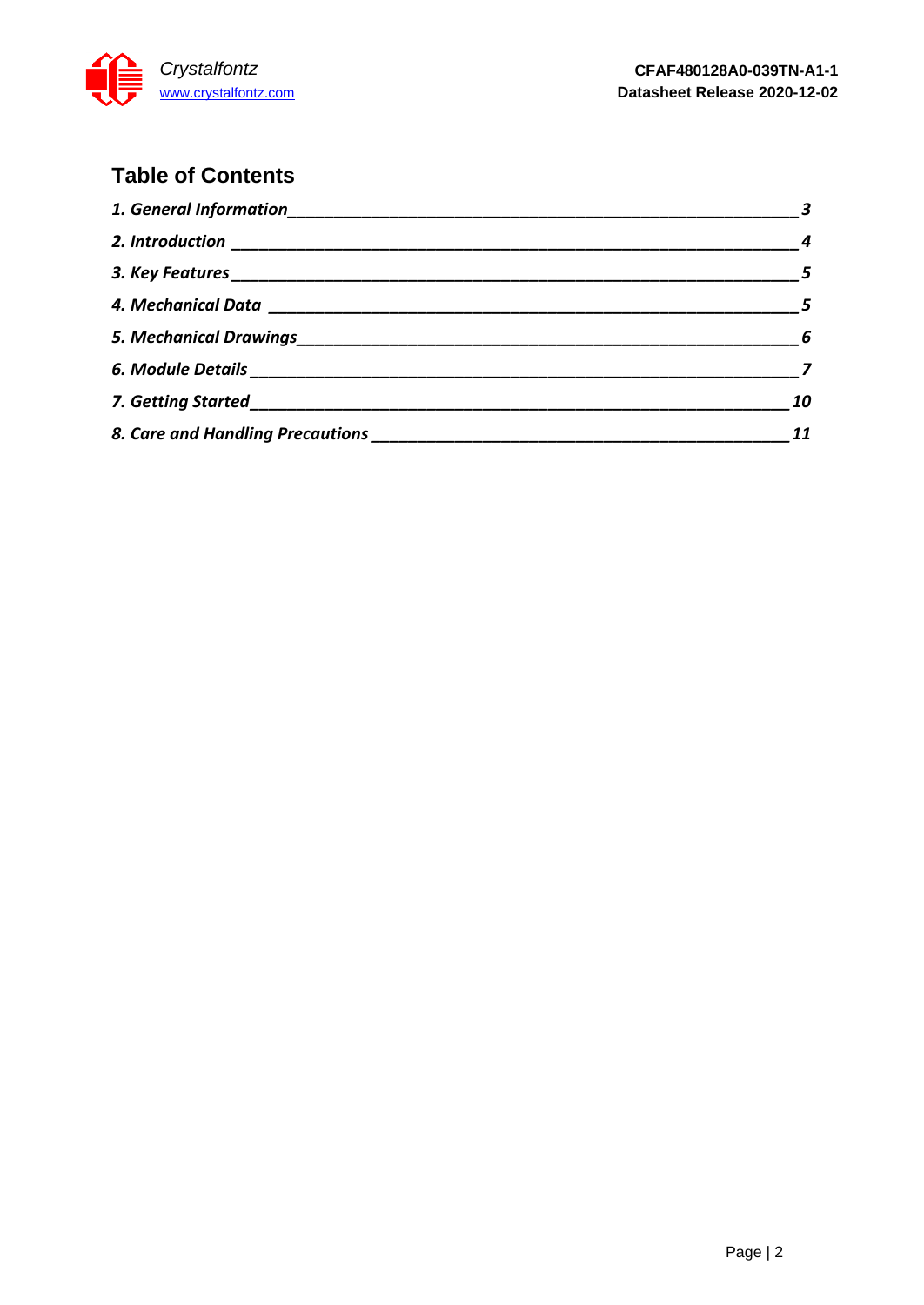

# **Table of Contents**

| $\frac{1}{2}$ 3 |
|-----------------|
| $\sim$ 4        |
| $\sim$ 5        |
|                 |
|                 |
|                 |
| 10              |
| 11              |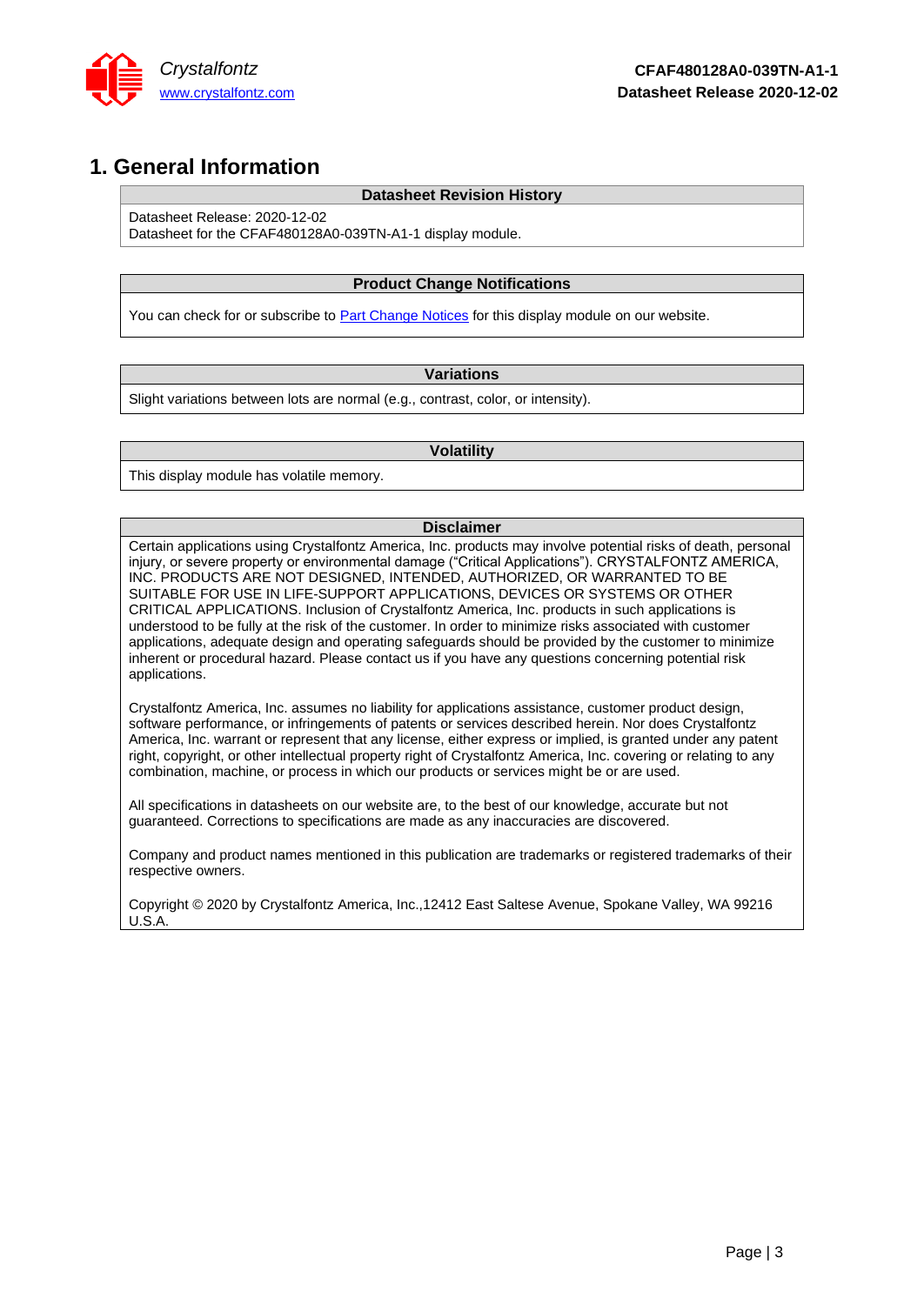

### <span id="page-2-0"></span>**1. General Information**

### **Datasheet Revision History**

Datasheet Release: 2020-12-02

Datasheet for the CFAF480128A0-039TN-A1-1 display module.

### **Product Change Notifications**

You can check for or subscribe to **Part Change Notices** for this display module on our website.

### **Variations**

Slight variations between lots are normal (e.g., contrast, color, or intensity).

#### **Volatility**

This display module has volatile memory.

#### **Disclaimer**

Certain applications using Crystalfontz America, Inc. products may involve potential risks of death, personal injury, or severe property or environmental damage ("Critical Applications"). CRYSTALFONTZ AMERICA, INC. PRODUCTS ARE NOT DESIGNED, INTENDED, AUTHORIZED, OR WARRANTED TO BE SUITABLE FOR USE IN LIFE-SUPPORT APPLICATIONS, DEVICES OR SYSTEMS OR OTHER CRITICAL APPLICATIONS. Inclusion of Crystalfontz America, Inc. products in such applications is understood to be fully at the risk of the customer. In order to minimize risks associated with customer applications, adequate design and operating safeguards should be provided by the customer to minimize inherent or procedural hazard. Please contact us if you have any questions concerning potential risk applications.

Crystalfontz America, Inc. assumes no liability for applications assistance, customer product design, software performance, or infringements of patents or services described herein. Nor does Crystalfontz America, Inc. warrant or represent that any license, either express or implied, is granted under any patent right, copyright, or other intellectual property right of Crystalfontz America, Inc. covering or relating to any combination, machine, or process in which our products or services might be or are used.

All specifications in datasheets on our website are, to the best of our knowledge, accurate but not guaranteed. Corrections to specifications are made as any inaccuracies are discovered.

Company and product names mentioned in this publication are trademarks or registered trademarks of their respective owners.

Copyright © 2020 by Crystalfontz America, Inc.,12412 East Saltese Avenue, Spokane Valley, WA 99216 U.S.A.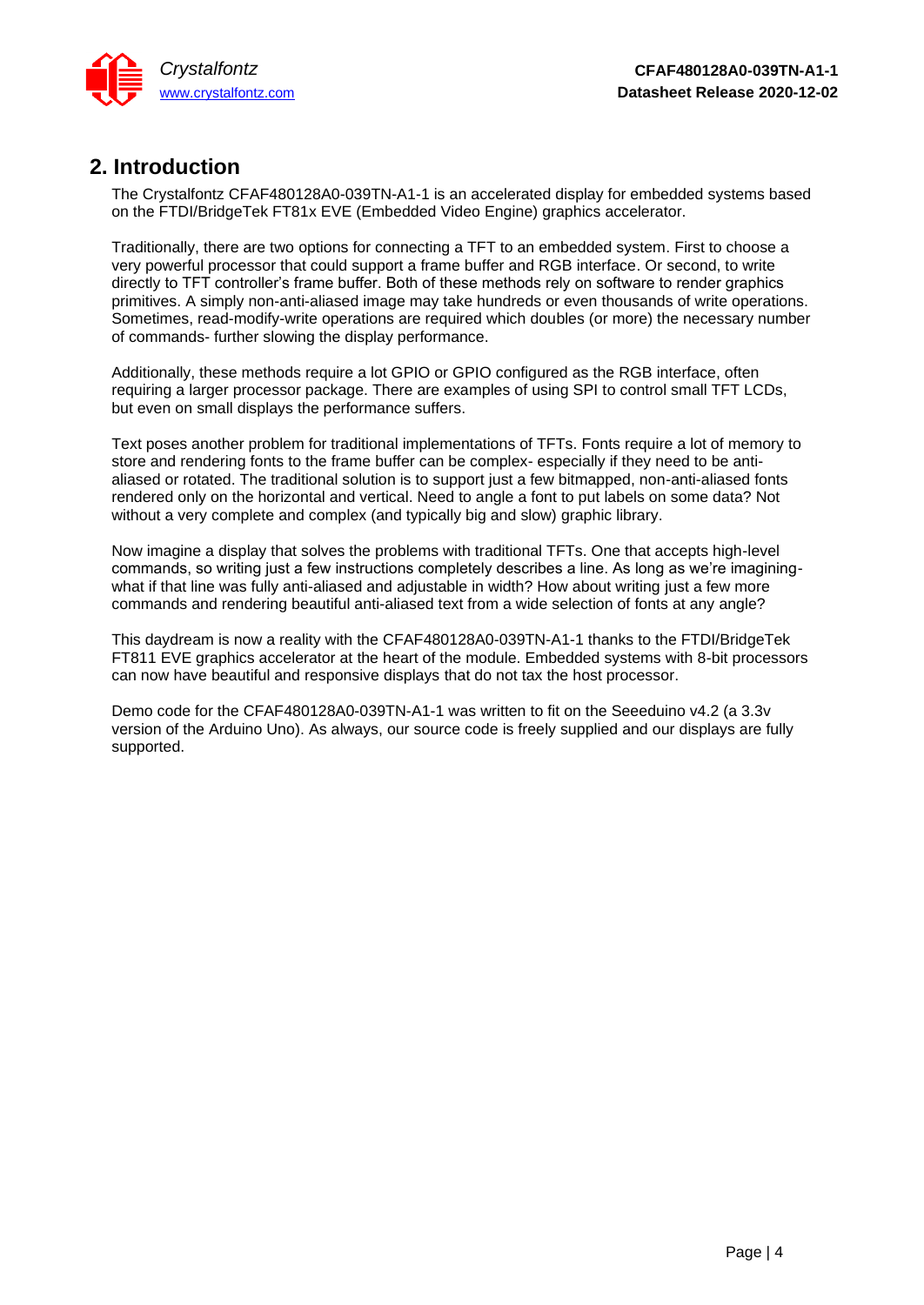

# <span id="page-3-0"></span>**2. Introduction**

The Crystalfontz CFAF480128A0-039TN-A1-1 is an accelerated display for embedded systems based on the FTDI/BridgeTek FT81x EVE (Embedded Video Engine) graphics accelerator.

Traditionally, there are two options for connecting a TFT to an embedded system. First to choose a very powerful processor that could support a frame buffer and RGB interface. Or second, to write directly to TFT controller's frame buffer. Both of these methods rely on software to render graphics primitives. A simply non-anti-aliased image may take hundreds or even thousands of write operations. Sometimes, read-modify-write operations are required which doubles (or more) the necessary number of commands- further slowing the display performance.

Additionally, these methods require a lot GPIO or GPIO configured as the RGB interface, often requiring a larger processor package. There are examples of using SPI to control small TFT LCDs, but even on small displays the performance suffers.

Text poses another problem for traditional implementations of TFTs. Fonts require a lot of memory to store and rendering fonts to the frame buffer can be complex- especially if they need to be antialiased or rotated. The traditional solution is to support just a few bitmapped, non-anti-aliased fonts rendered only on the horizontal and vertical. Need to angle a font to put labels on some data? Not without a very complete and complex (and typically big and slow) graphic library.

Now imagine a display that solves the problems with traditional TFTs. One that accepts high-level commands, so writing just a few instructions completely describes a line. As long as we're imaginingwhat if that line was fully anti-aliased and adjustable in width? How about writing just a few more commands and rendering beautiful anti-aliased text from a wide selection of fonts at any angle?

This daydream is now a reality with the CFAF480128A0-039TN-A1-1 thanks to the FTDI/BridgeTek FT811 EVE graphics accelerator at the heart of the module. Embedded systems with 8-bit processors can now have beautiful and responsive displays that do not tax the host processor.

Demo code for the CFAF480128A0-039TN-A1-1 was written to fit on the Seeeduino v4.2 (a 3.3v version of the Arduino Uno). As always, our source code is freely supplied and our displays are fully supported.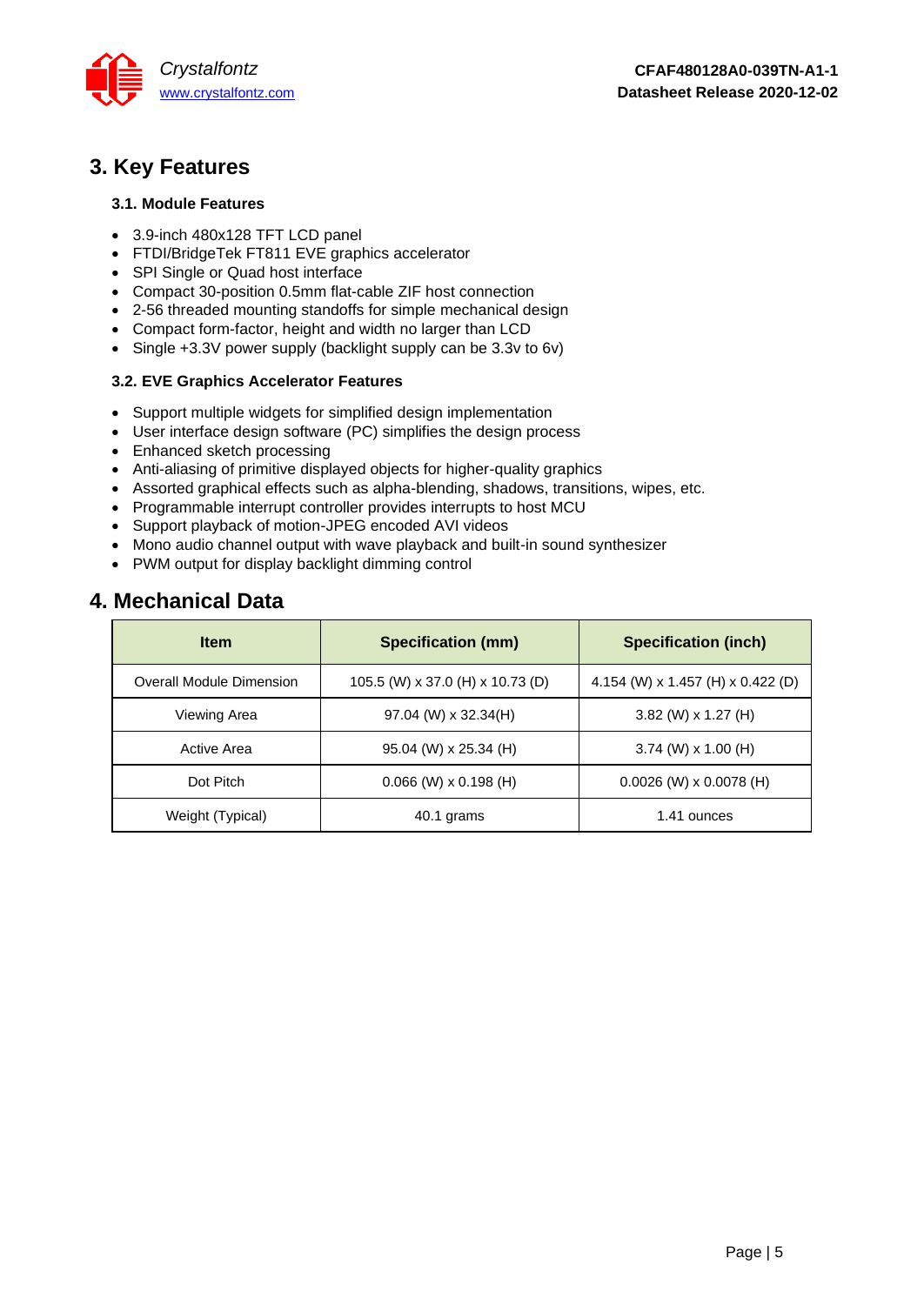

# <span id="page-4-0"></span>**3. Key Features**

### **3.1. Module Features**

- 3.9-inch 480x128 TFT LCD panel
- FTDI/BridgeTek FT811 EVE graphics accelerator
- SPI Single or Quad host interface
- Compact 30-position 0.5mm flat-cable ZIF host connection
- 2-56 threaded mounting standoffs for simple mechanical design
- Compact form-factor, height and width no larger than LCD
- Single +3.3V power supply (backlight supply can be 3.3v to 6v)

### **3.2. EVE Graphics Accelerator Features**

- Support multiple widgets for simplified design implementation
- User interface design software (PC) simplifies the design process
- Enhanced sketch processing
- Anti-aliasing of primitive displayed objects for higher-quality graphics
- Assorted graphical effects such as alpha-blending, shadows, transitions, wipes, etc.
- Programmable interrupt controller provides interrupts to host MCU
- Support playback of motion-JPEG encoded AVI videos
- Mono audio channel output with wave playback and built-in sound synthesizer
- <span id="page-4-1"></span>• PWM output for display backlight dimming control

### **4. Mechanical Data**

| <b>Item</b>              | <b>Specification (mm)</b>        | <b>Specification (inch)</b>       |
|--------------------------|----------------------------------|-----------------------------------|
| Overall Module Dimension | 105.5 (W) x 37.0 (H) x 10.73 (D) | 4.154 (W) x 1.457 (H) x 0.422 (D) |
| Viewing Area             | $97.04$ (W) x 32.34(H)           | $3.82$ (W) x 1.27 (H)             |
| Active Area              | 95.04 (W) x 25.34 (H)            | $3.74$ (W) x 1.00 (H)             |
| Dot Pitch                | $0.066$ (W) x $0.198$ (H)        | $0.0026$ (W) x 0.0078 (H)         |
| Weight (Typical)         | 40.1 grams                       | 1.41 ounces                       |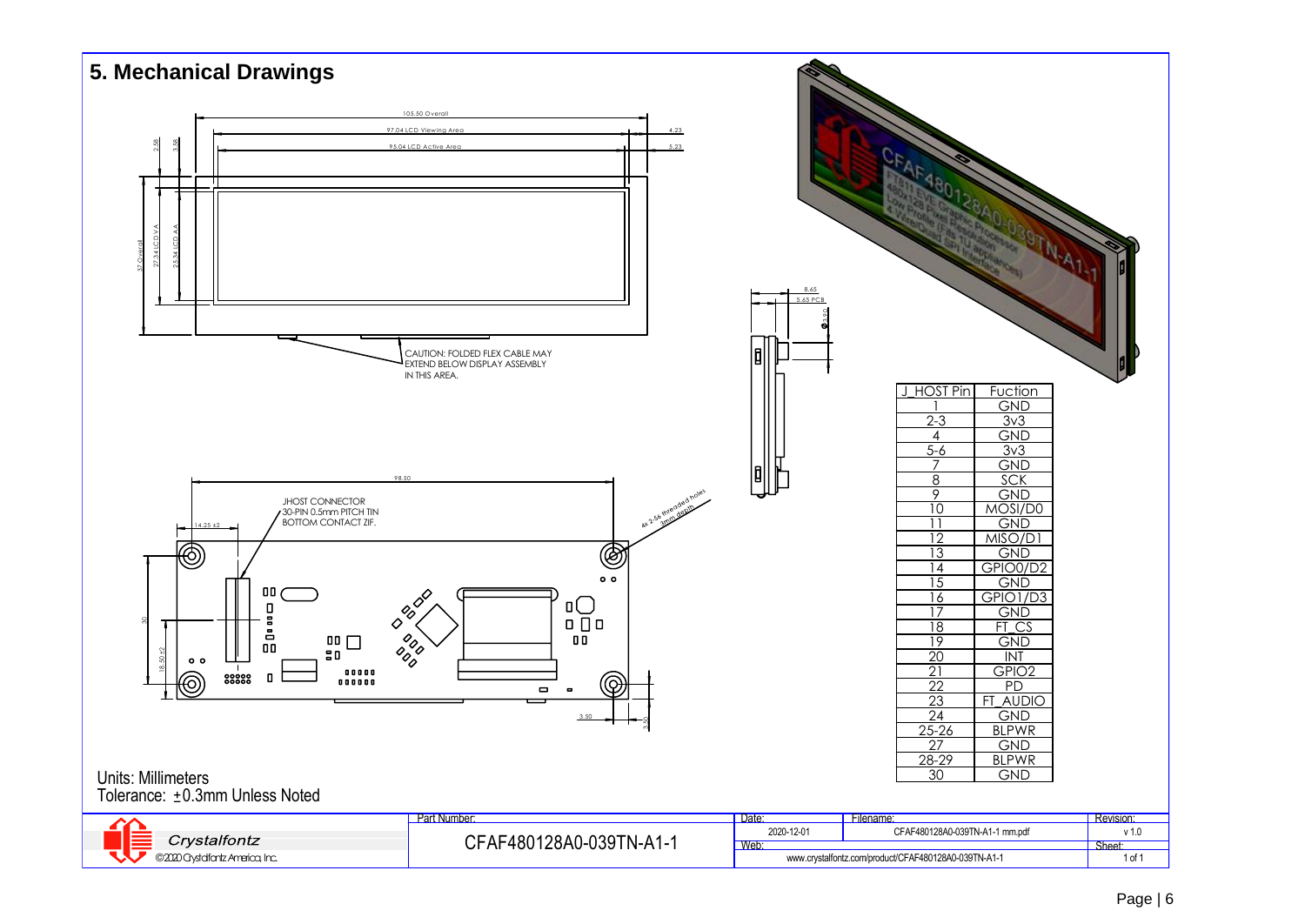<span id="page-5-0"></span>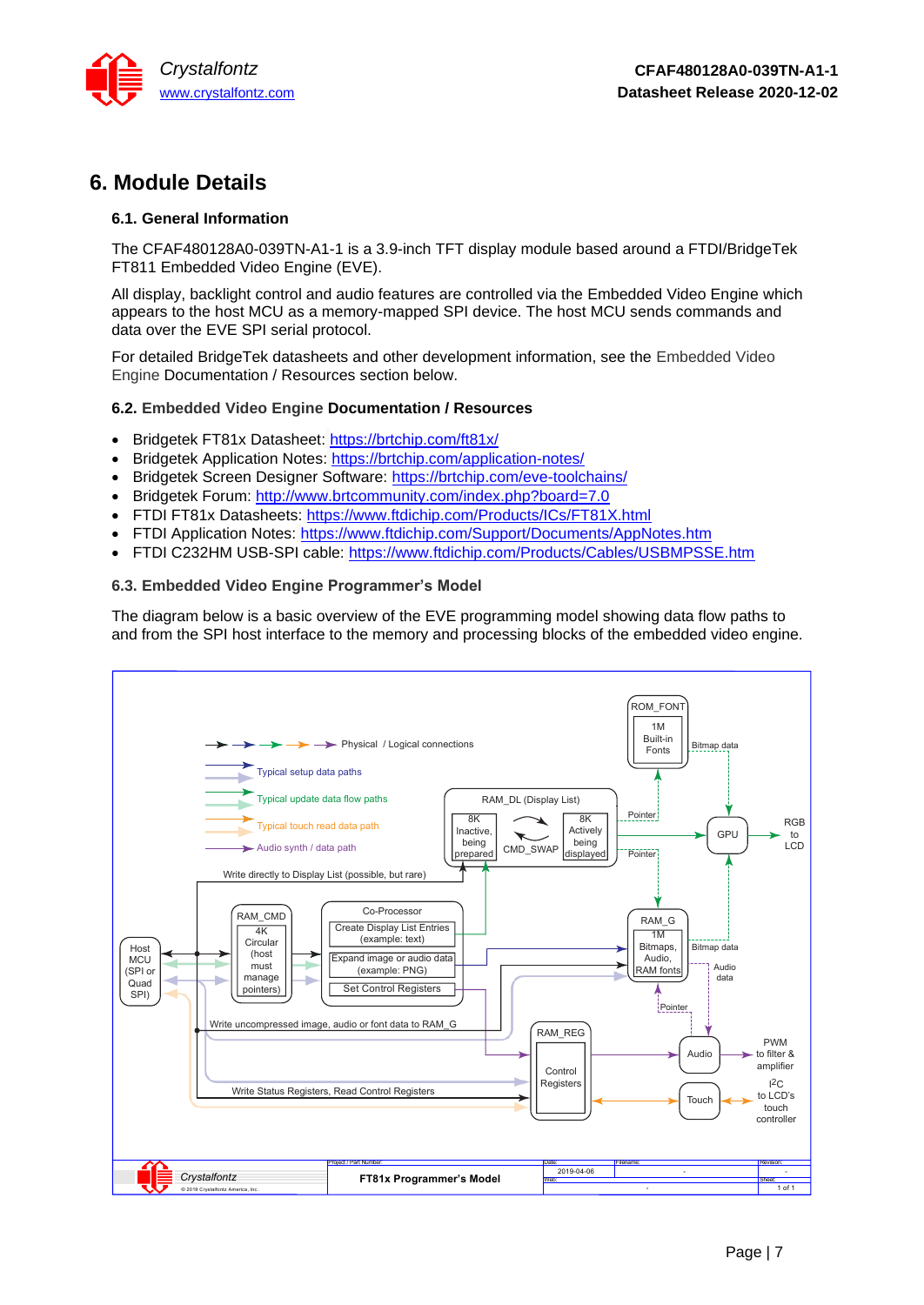

# <span id="page-6-0"></span>**6. Module Details**

### **6.1. General Information**

The CFAF480128A0-039TN-A1-1 is a 3.9-inch TFT display module based around a FTDI/BridgeTek FT811 Embedded Video Engine (EVE).

All display, backlight control and audio features are controlled via the Embedded Video Engine which appears to the host MCU as a memory-mapped SPI device. The host MCU sends commands and data over the EVE SPI serial protocol.

For detailed BridgeTek datasheets and other development information, see the [Embedded Video](#page-6-1)  Engine [Documentation / Resources](#page-6-1) section below.

### <span id="page-6-1"></span>**6.2. Embedded Video Engine Documentation / Resources**

- Bridgetek FT81x Datasheet: <https://brtchip.com/ft81x/>
- Bridgetek Application Notes: <https://brtchip.com/application-notes/>
- Bridgetek Screen Designer Software: <https://brtchip.com/eve-toolchains/>
- Bridgetek Forum: <http://www.brtcommunity.com/index.php?board=7.0>
- FTDI FT81x Datasheets: <https://www.ftdichip.com/Products/ICs/FT81X.html>
- FTDI Application Notes: <https://www.ftdichip.com/Support/Documents/AppNotes.htm>
- FTDI C232HM USB-SPI cable: <https://www.ftdichip.com/Products/Cables/USBMPSSE.htm>

### **6.3. Embedded Video Engine Programmer's Model**

The diagram below is a basic overview of the EVE programming model showing data flow paths to and from the SPI host interface to the memory and processing blocks of the embedded video engine.

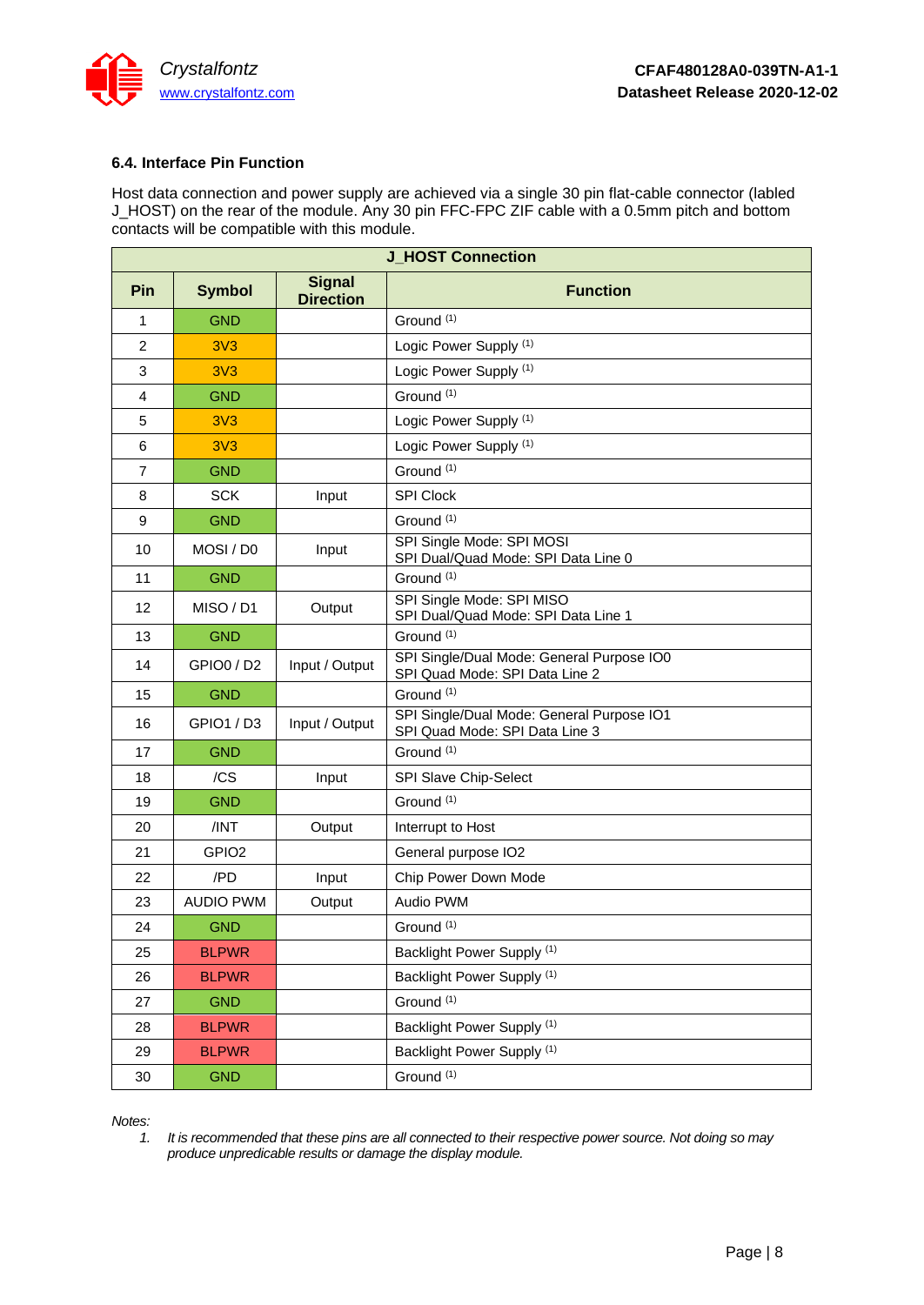

### **6.4. Interface Pin Function**

Host data connection and power supply are achieved via a single 30 pin flat-cable connector (labled J\_HOST) on the rear of the module. Any 30 pin FFC-FPC ZIF cable with a 0.5mm pitch and bottom contacts will be compatible with this module.

| <b>J HOST Connection</b> |                   |                                   |                                                                             |  |
|--------------------------|-------------------|-----------------------------------|-----------------------------------------------------------------------------|--|
| Pin                      | <b>Symbol</b>     | <b>Signal</b><br><b>Direction</b> | <b>Function</b>                                                             |  |
| $\mathbf{1}$             | <b>GND</b>        |                                   | Ground <sup>(1)</sup>                                                       |  |
| 2                        | 3V <sub>3</sub>   |                                   | Logic Power Supply <sup>(1)</sup>                                           |  |
| 3                        | 3V <sub>3</sub>   |                                   | Logic Power Supply (1)                                                      |  |
| 4                        | <b>GND</b>        |                                   | Ground <sup>(1)</sup>                                                       |  |
| 5                        | 3V <sub>3</sub>   |                                   | Logic Power Supply (1)                                                      |  |
| 6                        | 3V <sub>3</sub>   |                                   | Logic Power Supply (1)                                                      |  |
| $\overline{7}$           | <b>GND</b>        |                                   | Ground <sup>(1)</sup>                                                       |  |
| 8                        | <b>SCK</b>        | Input                             | <b>SPI Clock</b>                                                            |  |
| 9                        | <b>GND</b>        |                                   | Ground $(1)$                                                                |  |
| 10                       | MOSI / DO         | Input                             | SPI Single Mode: SPI MOSI<br>SPI Dual/Quad Mode: SPI Data Line 0            |  |
| 11                       | <b>GND</b>        |                                   | Ground <sup>(1)</sup>                                                       |  |
| 12                       | MISO / D1         | Output                            | SPI Single Mode: SPI MISO<br>SPI Dual/Quad Mode: SPI Data Line 1            |  |
| 13                       | <b>GND</b>        |                                   | Ground <sup>(1)</sup>                                                       |  |
| 14                       | GPIO0 / D2        | Input / Output                    | SPI Single/Dual Mode: General Purpose IO0<br>SPI Quad Mode: SPI Data Line 2 |  |
| 15                       | <b>GND</b>        |                                   | Ground (1)                                                                  |  |
| 16                       | GPIO1 / D3        | Input / Output                    | SPI Single/Dual Mode: General Purpose IO1<br>SPI Quad Mode: SPI Data Line 3 |  |
| 17                       | <b>GND</b>        |                                   | Ground (1)                                                                  |  |
| 18                       | /CS               | Input                             | SPI Slave Chip-Select                                                       |  |
| 19                       | <b>GND</b>        |                                   | Ground <sup>(1)</sup>                                                       |  |
| 20                       | /INT              | Output                            | Interrupt to Host                                                           |  |
| 21                       | GPIO <sub>2</sub> |                                   | General purpose IO2                                                         |  |
| 22                       | /PD               | Input                             | Chip Power Down Mode                                                        |  |
| 23                       | <b>AUDIO PWM</b>  | Output                            | Audio PWM                                                                   |  |
| 24                       | <b>GND</b>        |                                   | Ground <sup>(1)</sup>                                                       |  |
| 25                       | <b>BLPWR</b>      |                                   | Backlight Power Supply <sup>(1)</sup>                                       |  |
| 26                       | <b>BLPWR</b>      |                                   | Backlight Power Supply (1)                                                  |  |
| 27                       | <b>GND</b>        |                                   | Ground <sup>(1)</sup>                                                       |  |
| 28                       | <b>BLPWR</b>      |                                   | Backlight Power Supply (1)                                                  |  |
| 29                       | <b>BLPWR</b>      |                                   | Backlight Power Supply <sup>(1)</sup>                                       |  |
| $30\,$                   | <b>GND</b>        |                                   | Ground <sup>(1)</sup>                                                       |  |

*Notes:*

*1. It is recommended that these pins are all connected to their respective power source. Not doing so may produce unpredicable results or damage the display module.*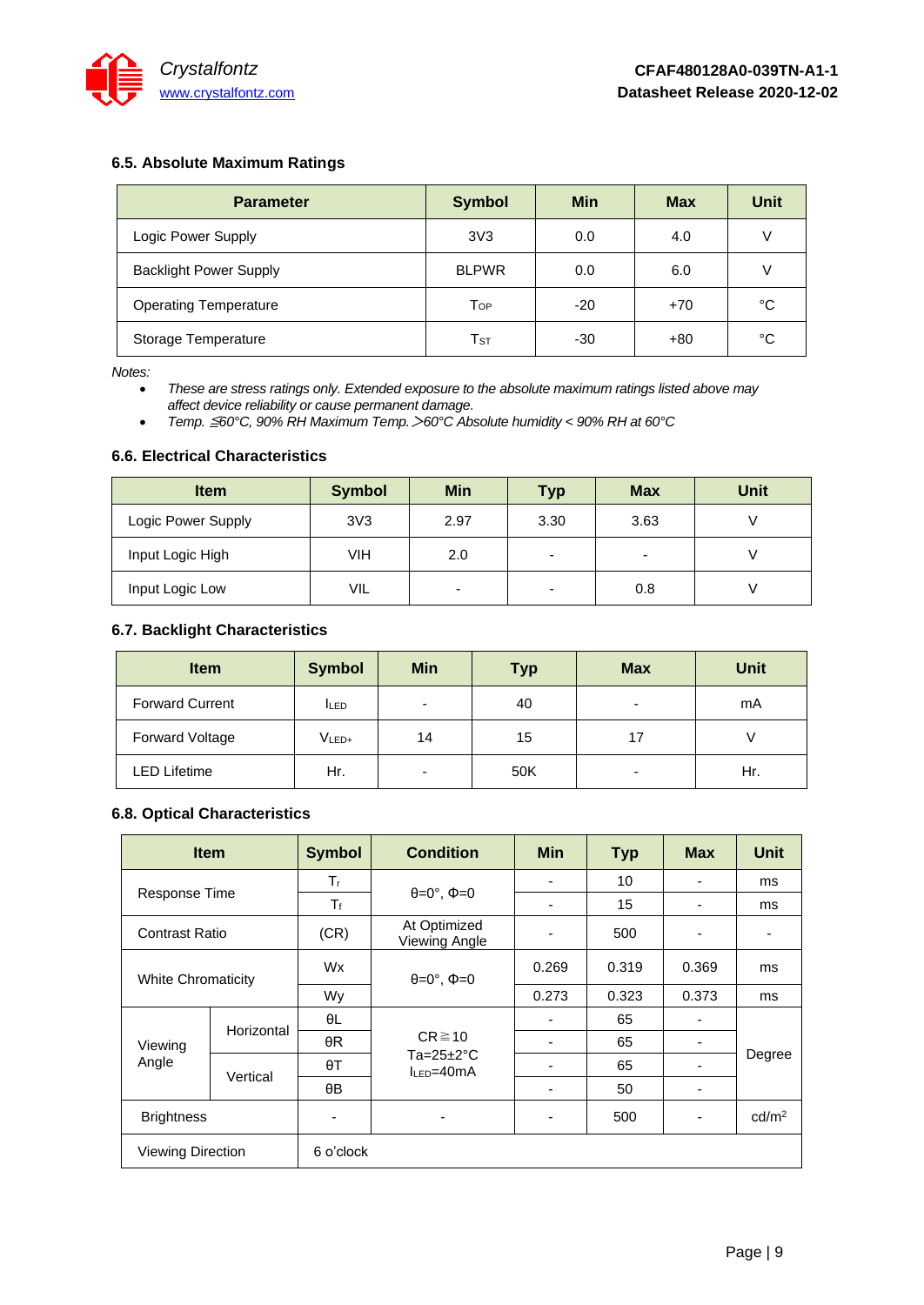

### **6.5. Absolute Maximum Ratings**

| <b>Parameter</b>              | <b>Symbol</b>   | Min   | <b>Max</b> | Unit |
|-------------------------------|-----------------|-------|------------|------|
| Logic Power Supply            | 3V <sub>3</sub> | 0.0   | 4.0        |      |
| <b>Backlight Power Supply</b> | <b>BLPWR</b>    | 0.0   | 6.0        |      |
| <b>Operating Temperature</b>  | Top             | $-20$ | $+70$      | °C   |
| Storage Temperature           | $T_{\rm ST}$    | -30   | $+80$      | °C   |

*Notes:*

• *These are stress ratings only. Extended exposure to the absolute maximum ratings listed above may affect device reliability or cause permanent damage.* 

• *Temp.* ≦*60°C, 90% RH Maximum Temp.*>*60°C Absolute humidity < 90% RH at 60°C*

### **6.6. Electrical Characteristics**

| <b>Item</b>        | <b>Symbol</b>   | <b>Min</b>     | <b>Typ</b> | <b>Max</b> | <b>Unit</b> |
|--------------------|-----------------|----------------|------------|------------|-------------|
| Logic Power Supply | 3V <sub>3</sub> | 2.97           | 3.30       | 3.63       |             |
| Input Logic High   | VIH             | 2.0            | -          |            |             |
| Input Logic Low    | <b>VIL</b>      | $\blacksquare$ | -          | 0.8        |             |

### **6.7. Backlight Characteristics**

| <b>Item</b>            | <b>Symbol</b>     | <b>Min</b>               | <b>Typ</b> | <b>Max</b>               | <b>Unit</b> |
|------------------------|-------------------|--------------------------|------------|--------------------------|-------------|
| <b>Forward Current</b> | <b>ILED</b>       | $\overline{\phantom{0}}$ | 40         | -                        | mA          |
| Forward Voltage        | V <sub>LED+</sub> | 14                       | 15         | 17                       |             |
| LED Lifetime           | Hr.               | $\overline{\phantom{0}}$ | 50K        | $\overline{\phantom{0}}$ | Hr.         |

### **6.8. Optical Characteristics**

|                           | <b>Item</b> | <b>Symbol</b> | <b>Condition</b>                                            | <b>Min</b> | <b>Typ</b> | <b>Max</b> | <b>Unit</b>       |
|---------------------------|-------------|---------------|-------------------------------------------------------------|------------|------------|------------|-------------------|
|                           |             | $T_{\rm r}$   |                                                             |            | 10         |            | ms                |
| <b>Response Time</b>      |             | $T_f$         | $\theta = 0^\circ$ , $\Phi = 0$                             |            | 15         |            | ms                |
| Contrast Ratio            |             | (CR)          | At Optimized<br>Viewing Angle                               |            | 500        |            |                   |
| <b>White Chromaticity</b> |             | Wx            | $\theta = 0^\circ$ , $\Phi = 0$                             | 0.269      | 0.319      | 0.369      | ms                |
|                           |             | Wy            |                                                             | 0.273      | 0.323      | 0.373      | ms                |
| Viewing<br>Angle          | Horizontal  | θL            | $CR \ge 10$<br>Ta= $25 \pm 2^{\circ}$ C<br>$I_{LED} = 40mA$ |            | 65         |            | Degree            |
|                           |             | $\theta R$    |                                                             |            | 65         |            |                   |
|                           | Vertical    | $\theta$ T    |                                                             |            | 65         |            |                   |
|                           |             | $\theta$ B    |                                                             |            | 50         |            |                   |
| <b>Brightness</b>         |             |               | ٠                                                           | -          | 500        |            | cd/m <sup>2</sup> |
| <b>Viewing Direction</b>  |             | 6 o'clock     |                                                             |            |            |            |                   |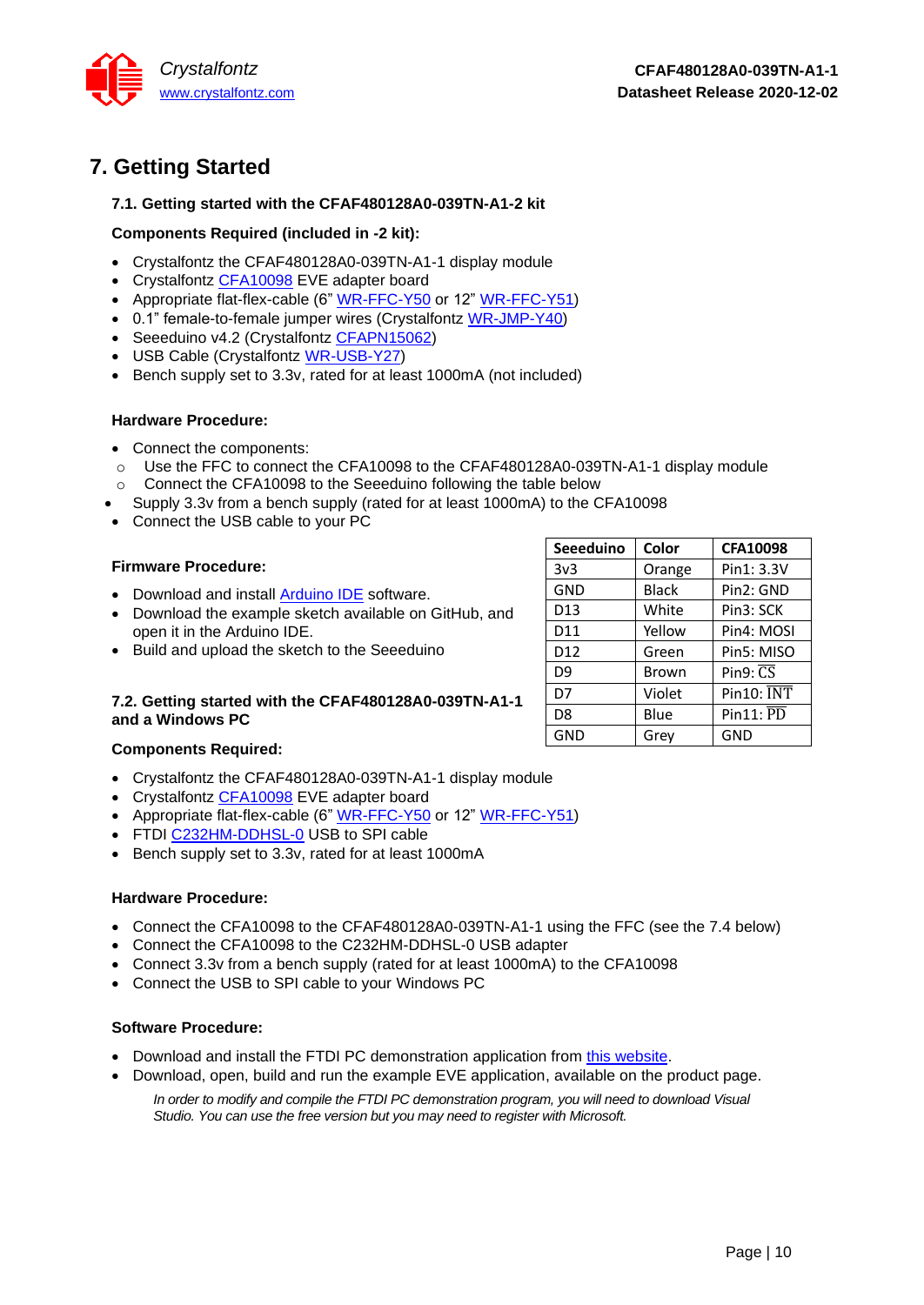

# <span id="page-9-0"></span>**7. Getting Started**

### **7.1. Getting started with the CFAF480128A0-039TN-A1-2 kit**

### **Components Required (included in -2 kit):**

- Crystalfontz the CFAF480128A0-039TN-A1-1 display module
- Crystalfontz [CFA10098](https://www.crystalfontz.com/product/cfa10098) EVE adapter board
- Appropriate flat-flex-cable (6" [WR-FFC-Y50](https://www.crystalfontz.com/product/wrffcy50) or 12" [WR-FFC-Y51\)](https://www.crystalfontz.com/product/wrffcy51)
- 0.1" female-to-female jumper wires (Crystalfontz [WR-JMP-Y40\)](https://www.crystalfontz.com/product/wrjmpy40)
- Seeeduino v4.2 (Crystalfontz [CFAPN15062\)](https://www.crystalfontz.com/product/cfapn15062)
- USB Cable (Crystalfontz [WR-USB-Y27\)](https://www.crystalfontz.com/product/wrusby27)
- Bench supply set to 3.3v, rated for at least 1000mA (not included)

### **Hardware Procedure:**

- Connect the components:
- o Use the FFC to connect the CFA10098 to the CFAF480128A0-039TN-A1-1 display module
- o Connect the CFA10098 to the Seeeduino following the table below
- Supply 3.3v from a bench supply (rated for at least 1000mA) to the CFA10098
- Connect the USB cable to your PC

### **Firmware Procedure:**

- Download and install [Arduino IDE](https://www.arduino.cc/en/main/software) software.
- Download the example sketch available on GitHub, and open it in the Arduino IDE.
- Build and upload the sketch to the Seeeduino

### **7.2. Getting started with the CFAF480128A0-039TN-A1-1 and a Windows PC**

### **Components Required:**

- Crystalfontz the CFAF480128A0-039TN-A1-1 display module
- Crystalfontz [CFA10098](https://www.crystalfontz.com/product/cfa10098) EVE adapter board
- Appropriate flat-flex-cable (6" [WR-FFC-Y50](https://www.crystalfontz.com/product/wrffcy50) or 12" [WR-FFC-Y51\)](https://www.crystalfontz.com/product/wrffcy51)
- FTDI [C232HM-DDHSL-0](https://www.ftdichip.com/Products/Cables/USBMPSSE.htm) USB to SPI cable
- Bench supply set to 3.3v, rated for at least 1000mA

### **Hardware Procedure:**

- Connect the CFA10098 to the CFAF480128A0-039TN-A1-1 using the FFC (see the [7.4](#page-10-1) below)
- Connect the CFA10098 to the C232HM-DDHSL-0 USB adapter
- Connect 3.3v from a bench supply (rated for at least 1000mA) to the CFA10098
- Connect the USB to SPI cable to your Windows PC

### **Software Procedure:**

- Download and install the FTDI PC demonstration application from [this website.](https://brtchip.com/eve-toolchains/)
- Download, open, build and run the example EVE application, available on the product page.

*In order to modify and compile the FTDI PC demonstration program, you will need to download Visual Studio. You can use the free version but you may need to register with Microsoft.*

| <b>Seeeduino</b> | Color        | <b>CFA10098</b>        |
|------------------|--------------|------------------------|
| 3v3              | Orange       | Pin1: 3.3V             |
| GND              | <b>Black</b> | Pin2: GND              |
| D <sub>13</sub>  | White        | Pin3: SCK              |
| D11              | Yellow       | Pin4: MOSI             |
| D <sub>12</sub>  | Green        | Pin5: MISO             |
| D <sub>9</sub>   | Brown        | Pin $9: \overline{CS}$ |
| D7               | Violet       | Pin10: INT             |
| D <sub>8</sub>   | Blue         | Pin11: PD              |
| GND              | Grey         | <b>GND</b>             |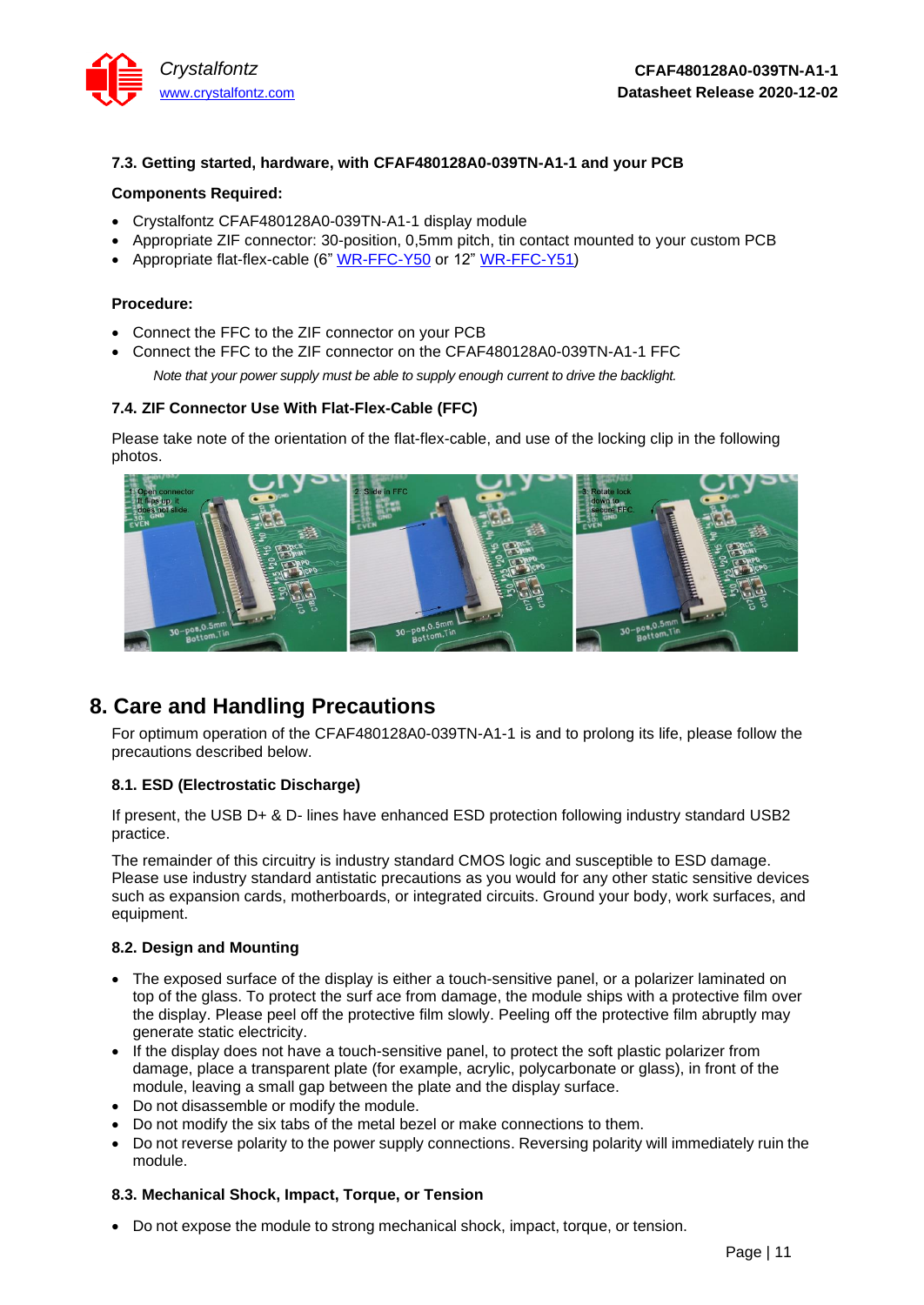

### **7.3. Getting started, hardware, with CFAF480128A0-039TN-A1-1 and your PCB**

### **Components Required:**

- Crystalfontz CFAF480128A0-039TN-A1-1 display module
- Appropriate ZIF connector: 30-position, 0,5mm pitch, tin contact mounted to your custom PCB
- Appropriate flat-flex-cable (6" [WR-FFC-Y50](https://www.crystalfontz.com/product/wrffcy50) or 12" [WR-FFC-Y51\)](https://www.crystalfontz.com/product/wrffcy51)

### **Procedure:**

- Connect the FFC to the ZIF connector on your PCB
- Connect the FFC to the ZIF connector on the CFAF480128A0-039TN-A1-1 FFC

*Note that your power supply must be able to supply enough current to drive the backlight.* 

### <span id="page-10-1"></span>**7.4. ZIF Connector Use With Flat-Flex-Cable (FFC)**

Please take note of the orientation of the flat-flex-cable, and use of the locking clip in the following photos.



## <span id="page-10-0"></span>**8. Care and Handling Precautions**

[For optimum operation of the CFAF480128A0-039TN-A1-1](http://www.crystalfontz.com/product/CFA633TMIKS) is and to prolong its life, please follow the [precautions described below.](http://www.crystalfontz.com/product/CFA633TMIKS)

### **8.1. ESD (Electrostatic Discharge)**

If present, the USB D+ & D- lines have enhanced ESD protection following industry standard USB2 practice.

The remainder of this circuitry is industry standard CMOS logic and susceptible to ESD damage. Please use industry standard antistatic precautions as you would for any other static sensitive devices such as expansion cards, motherboards, or integrated circuits. Ground your body, work surfaces, and equipment.

### **8.2. Design and Mounting**

- The exposed surface of the display is either a touch-sensitive panel, or a polarizer laminated on top of the glass. To protect the surf ace from damage, the module ships with a protective film over the display. Please peel off the protective film slowly. Peeling off the protective film abruptly may generate static electricity.
- If the display does not have a touch-sensitive panel, to protect the soft plastic polarizer from damage, place a transparent plate (for example, acrylic, polycarbonate or glass), in front of the module, leaving a small gap between the plate and the display surface.
- Do not disassemble or modify the module.
- Do not modify the six tabs of the metal bezel or make connections to them.
- Do not reverse polarity to the power supply connections. Reversing polarity will immediately ruin the module.

### **8.3. Mechanical Shock, Impact, Torque, or Tension**

• Do not expose the module to strong mechanical shock, impact, torque, or tension.